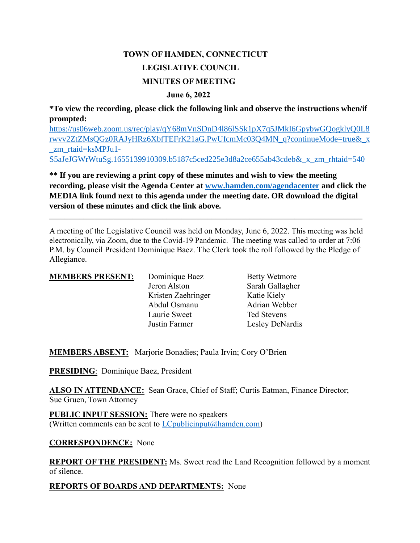# **TOWN OF HAMDEN, CONNECTICUT LEGISLATIVE COUNCIL MINUTES OF MEETING**

### **June 6, 2022**

**\*To view the recording, please click the following link and observe the instructions when/if prompted:**

[https://us06web.zoom.us/rec/play/qY68mVnSDnD4l86lSSk1pX7q5JMkI6GpybwGQogklyQ0L8](https://us06web.zoom.us/rec/play/qY68mVnSDnD4l86lSSk1pX7q5JMkI6GpybwGQogklyQ0L8rwvv2ZtZMsQGz0RAJyHRz6XbfTEFrK21aG.PwUfcmMc03Q4MN_q?continueMode=true&_x_zm_rtaid=ksMPJu1-S5aJeJGWrWtuSg.1655139910309.b5187c5ced225e3d8a2ce655ab43cdeb&_x_zm_rhtaid=540) [rwvv2ZtZMsQGz0RAJyHRz6XbfTEFrK21aG.PwUfcmMc03Q4MN\\_q?continueMode=true&\\_x](https://us06web.zoom.us/rec/play/qY68mVnSDnD4l86lSSk1pX7q5JMkI6GpybwGQogklyQ0L8rwvv2ZtZMsQGz0RAJyHRz6XbfTEFrK21aG.PwUfcmMc03Q4MN_q?continueMode=true&_x_zm_rtaid=ksMPJu1-S5aJeJGWrWtuSg.1655139910309.b5187c5ced225e3d8a2ce655ab43cdeb&_x_zm_rhtaid=540) [\\_zm\\_rtaid=ksMPJu1-](https://us06web.zoom.us/rec/play/qY68mVnSDnD4l86lSSk1pX7q5JMkI6GpybwGQogklyQ0L8rwvv2ZtZMsQGz0RAJyHRz6XbfTEFrK21aG.PwUfcmMc03Q4MN_q?continueMode=true&_x_zm_rtaid=ksMPJu1-S5aJeJGWrWtuSg.1655139910309.b5187c5ced225e3d8a2ce655ab43cdeb&_x_zm_rhtaid=540) [S5aJeJGWrWtuSg.1655139910309.b5187c5ced225e3d8a2ce655ab43cdeb&\\_x\\_zm\\_rhtaid=540](https://us06web.zoom.us/rec/play/qY68mVnSDnD4l86lSSk1pX7q5JMkI6GpybwGQogklyQ0L8rwvv2ZtZMsQGz0RAJyHRz6XbfTEFrK21aG.PwUfcmMc03Q4MN_q?continueMode=true&_x_zm_rtaid=ksMPJu1-S5aJeJGWrWtuSg.1655139910309.b5187c5ced225e3d8a2ce655ab43cdeb&_x_zm_rhtaid=540)

**\*\* If you are reviewing a print copy of these minutes and wish to view the meeting recording, please visit the Agenda Center at [www.hamden.com/agendacenter](http://www.hamden.com/agendacenter) and click the MEDIA link found next to this agenda under the meeting date. OR download the digital version of these minutes and click the link above.**

A meeting of the Legislative Council was held on Monday, June 6, 2022. This meeting was held electronically, via Zoom, due to the Covid-19 Pandemic. The meeting was called to order at 7:06 P.M. by Council President Dominique Baez. The Clerk took the roll followed by the Pledge of Allegiance.

**\_\_\_\_\_\_\_\_\_\_\_\_\_\_\_\_\_\_\_\_\_\_\_\_\_\_\_\_\_\_\_\_\_\_\_\_\_\_\_\_\_\_\_\_\_\_\_\_\_\_\_\_\_\_\_\_\_\_\_\_\_\_\_\_\_\_\_\_\_\_\_\_\_\_\_\_\_\_\_\_\_\_\_**

| <b>MEMBERS PRESENT:</b> | Dominique Baez     | <b>Betty Wetmore</b> |
|-------------------------|--------------------|----------------------|
|                         | Jeron Alston       | Sarah Gallagher      |
|                         | Kristen Zaehringer | Katie Kiely          |
|                         | Abdul Osmanu       | Adrian Webber        |
|                         | Laurie Sweet       | <b>Ted Stevens</b>   |
|                         | Justin Farmer      | Lesley DeNardis      |

**MEMBERS ABSENT:** Marjorie Bonadies; Paula Irvin; Cory O'Brien

**PRESIDING**: Dominique Baez, President

**ALSO IN ATTENDANCE:** Sean Grace, Chief of Staff; Curtis Eatman, Finance Director; Sue Gruen, Town Attorney

**PUBLIC INPUT SESSION:** There were no speakers (Written comments can be sent to  $LC$  publicinput $(a)$  hamden.com)

## **CORRESPONDENCE:** None

**REPORT OF THE PRESIDENT:** Ms. Sweet read the Land Recognition followed by a moment of silence.

## **REPORTS OF BOARDS AND DEPARTMENTS:** None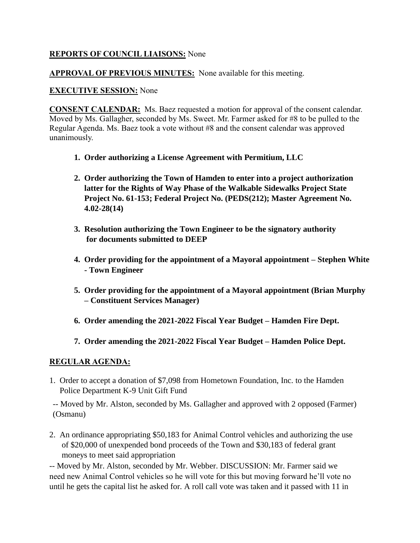## **REPORTS OF COUNCIL LIAISONS:** None

## **APPROVAL OF PREVIOUS MINUTES:** None available for this meeting.

## **EXECUTIVE SESSION:** None

**CONSENT CALENDAR:** Ms. Baez requested a motion for approval of the consent calendar. Moved by Ms. Gallagher, seconded by Ms. Sweet. Mr. Farmer asked for #8 to be pulled to the Regular Agenda. Ms. Baez took a vote without #8 and the consent calendar was approved unanimously.

- **1. Order authorizing a License Agreement with Permitium, LLC**
- **2. Order authorizing the Town of Hamden to enter into a project authorization latter for the Rights of Way Phase of the Walkable Sidewalks Project State Project No. 61-153; Federal Project No. (PEDS(212); Master Agreement No. 4.02-28(14)**
- **3. Resolution authorizing the Town Engineer to be the signatory authority for documents submitted to DEEP**
- **4. Order providing for the appointment of a Mayoral appointment – Stephen White - Town Engineer**
- **5. Order providing for the appointment of a Mayoral appointment (Brian Murphy – Constituent Services Manager)**
- **6. Order amending the 2021-2022 Fiscal Year Budget – Hamden Fire Dept.**
- **7. Order amending the 2021-2022 Fiscal Year Budget – Hamden Police Dept.**

# **REGULAR AGENDA:**

1. Order to accept a donation of \$7,098 from Hometown Foundation, Inc. to the Hamden Police Department K-9 Unit Gift Fund

-- Moved by Mr. Alston, seconded by Ms. Gallagher and approved with 2 opposed (Farmer) (Osmanu)

2. An ordinance appropriating \$50,183 for Animal Control vehicles and authorizing the use of \$20,000 of unexpended bond proceeds of the Town and \$30,183 of federal grant moneys to meet said appropriation

-- Moved by Mr. Alston, seconded by Mr. Webber. DISCUSSION: Mr. Farmer said we need new Animal Control vehicles so he will vote for this but moving forward he'll vote no until he gets the capital list he asked for. A roll call vote was taken and it passed with 11 in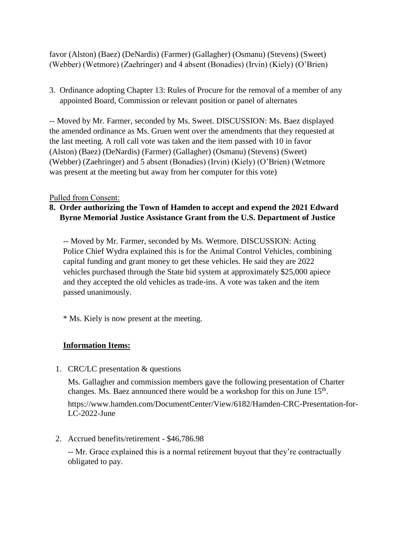favor (Alston) (Baez) (DeNardis) (Farmer) (Gallagher) (Osmanu) (Stevens) (Sweet) (Webber) (Wetmore) (Zaehringer) and 4 absent (Bonadies) (Irvin) (Kiely) (O'Brien)

3. Ordinance adopting Chapter 13: Rules of Procure for the removal of a member of any appointed Board, Commission or relevant position or panel of alternates

-- Moved by Mr. Farmer, seconded by Ms. Sweet. DISCUSSION: Ms. Baez displayed the amended ordinance as Ms. Gruen went over the amendments that they requested at the last meeting. A roll call vote was taken and the item passed with 10 in favor (Alston) (Baez) (DeNardis) (Farmer) (Gallagher) (Osmanu) (Stevens) (Sweet) (Webber) (Zaehringer) and 5 absent (Bonadies) (Irvin) (Kiely) (O'Brien) (Wetmore was present at the meeting but away from her computer for this vote)

### Pulled from Consent:

# **8. Order authorizing the Town of Hamden to accept and expend the 2021 Edward Byrne Memorial Justice Assistance Grant from the U.S. Department of Justice**

-- Moved by Mr. Farmer, seconded by Ms. Wetmore. DISCUSSION: Acting Police Chief Wydra explained this is for the Animal Control Vehicles, combining capital funding and grant money to get these vehicles. He said they are 2022 vehicles purchased through the State bid system at approximately \$25,000 apiece and they accepted the old vehicles as trade-ins. A vote was taken and the item passed unanimously.

\* Ms. Kiely is now present at the meeting.

## **Information Items:**

1. CRC/LC presentation & questions

Ms. Gallagher and commission members gave the following presentation of Charter changes. Ms. Baez announced there would be a workshop for this on June 15<sup>th</sup>.

https://www.hamden.com/DocumentCenter/View/6182/Hamden-CRC-Presentation-for-LC-2022-June

2. Accrued benefits/retirement - \$46,786.98

-- Mr. Grace explained this is a normal retirement buyout that they're contractually obligated to pay.